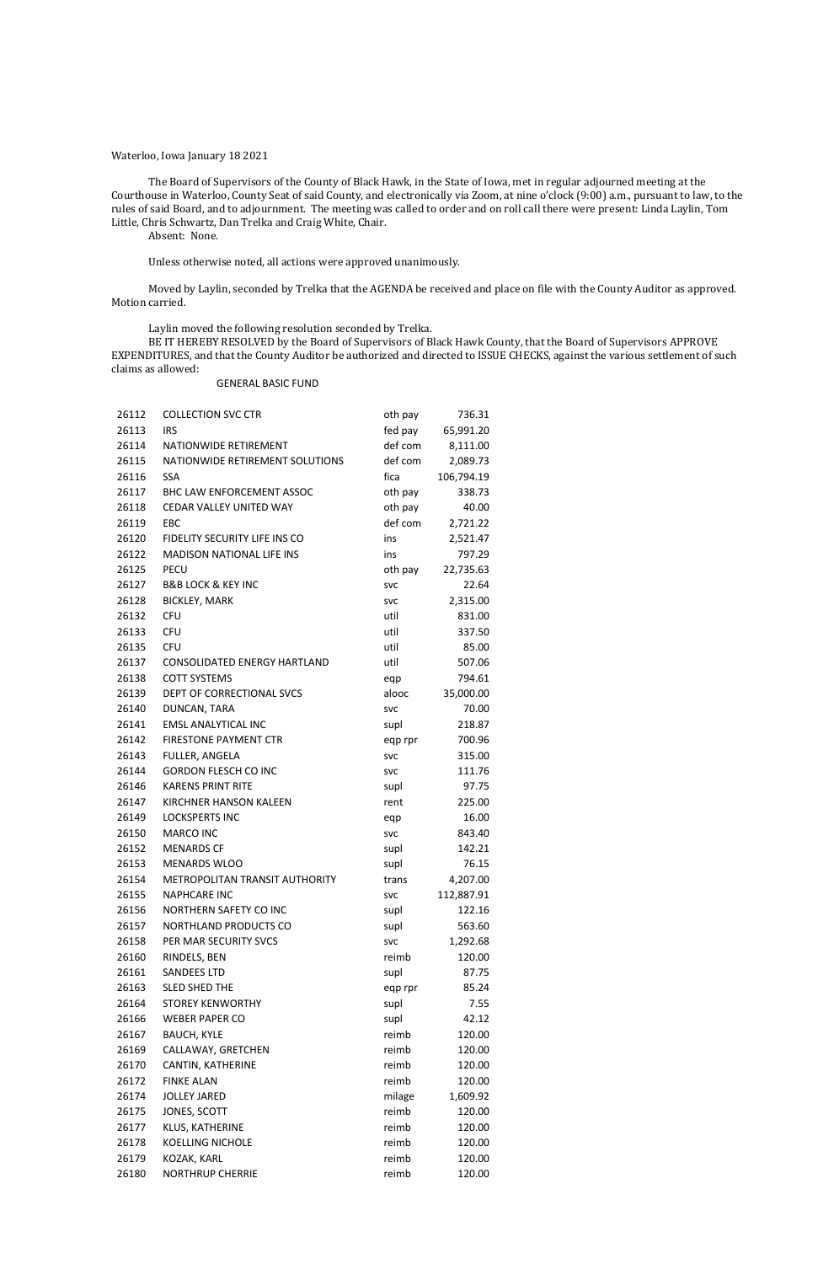#### Waterloo, Iowa January 18 2021

The Board of Supervisors of the County of Black Hawk, in the State of Iowa, met in regular adjourned meeting at the Courthouse in Waterloo, County Seat of said County, and electronically via Zoom, at nine o'clock (9:00) a.m., pursuant to law, to the rules of said Board, and to adjournment. The meeting was called to order and on roll call there were present: Linda Laylin, Tom Little, Chris Schwartz, Dan Trelka and Craig White, Chair.

Absent: None.

Unless otherwise noted, all actions were approved unanimously.

Moved by Laylin, seconded by Trelka that the AGENDA be received and place on file with the County Auditor as approved. Motion carried.

Laylin moved the following resolution seconded by Trelka.

BE IT HEREBY RESOLVED by the Board of Supervisors of Black Hawk County, that the Board of Supervisors APPROVE EXPENDITURES, and that the County Auditor be authorized and directed to ISSUE CHECKS, against the various settlement of such claims as allowed:

GENERAL BASIC FUND

| 26112          | <b>COLLECTION SVC CTR</b>           | oth pay            | 736.31             |
|----------------|-------------------------------------|--------------------|--------------------|
| 26113          | <b>IRS</b>                          | fed pay            | 65,991.20          |
| 26114          | NATIONWIDE RETIREMENT               | def com            | 8,111.00           |
| 26115          | NATIONWIDE RETIREMENT SOLUTIONS     | def com            | 2,089.73           |
| 26116          | <b>SSA</b>                          | fica               | 106,794.19         |
| 26117          | <b>BHC LAW ENFORCEMENT ASSOC</b>    | oth pay            | 338.73             |
| 26118          | CEDAR VALLEY UNITED WAY             | oth pay            | 40.00              |
| 26119          | EBC                                 | def com            | 2,721.22           |
| 26120          | FIDELITY SECURITY LIFE INS CO       | ins                | 2,521.47           |
| 26122          | <b>MADISON NATIONAL LIFE INS</b>    | ins                | 797.29             |
| 26125          | <b>PECU</b>                         | oth pay            | 22,735.63          |
| 26127          | <b>B&amp;B LOCK &amp; KEY INC</b>   | <b>SVC</b>         | 22.64              |
| 26128          | <b>BICKLEY, MARK</b>                | <b>SVC</b>         | 2,315.00           |
| 26132          | <b>CFU</b>                          | util               | 831.00             |
| 26133          | <b>CFU</b>                          | util               | 337.50             |
| 26135          | <b>CFU</b>                          | util               | 85.00              |
| 26137          | <b>CONSOLIDATED ENERGY HARTLAND</b> | util               | 507.06             |
| 26138          | <b>COTT SYSTEMS</b>                 | eqp                | 794.61             |
| 26139          | DEPT OF CORRECTIONAL SVCS           | alooc              | 35,000.00          |
| 26140          | DUNCAN, TARA                        | <b>SVC</b>         | 70.00              |
| 26141          | <b>EMSL ANALYTICAL INC</b>          | supl               | 218.87             |
| 26142          | <b>FIRESTONE PAYMENT CTR</b>        | eqp rpr            | 700.96             |
| 26143          | FULLER, ANGELA                      | <b>SVC</b>         | 315.00             |
| 26144          | <b>GORDON FLESCH CO INC</b>         | <b>SVC</b>         | 111.76             |
| 26146          | <b>KARENS PRINT RITE</b>            | supl               | 97.75              |
| 26147          | <b>KIRCHNER HANSON KALEEN</b>       | rent               | 225.00             |
| 26149          | <b>LOCKSPERTS INC</b>               |                    | 16.00              |
| 26150          | <b>MARCO INC</b>                    | eqp<br><b>SVC</b>  | 843.40             |
| 26152          | <b>MENARDS CF</b>                   | supl               | 142.21             |
| 26153          | <b>MENARDS WLOO</b>                 | supl               | 76.15              |
| 26154          | METROPOLITAN TRANSIT AUTHORITY      | trans              | 4,207.00           |
| 26155          | <b>NAPHCARE INC</b>                 |                    | 112,887.91         |
| 26156          | NORTHERN SAFETY CO INC              | <b>SVC</b><br>supl | 122.16             |
| 26157          | NORTHLAND PRODUCTS CO               | supl               | 563.60             |
| 26158          | PER MAR SECURITY SVCS               | svc                |                    |
| 26160          | RINDELS, BEN                        | reimb              | 1,292.68<br>120.00 |
| 26161          | <b>SANDEES LTD</b>                  | supl               | 87.75              |
| 26163          | <b>SLED SHED THE</b>                | eqp rpr            | 85.24              |
| 26164          | <b>STOREY KENWORTHY</b>             | supl               | 7.55               |
| 26166          | <b>WEBER PAPER CO</b>               | supl               | 42.12              |
| 26167          | <b>BAUCH, KYLE</b>                  | reimb              | 120.00             |
| 26169          | CALLAWAY, GRETCHEN                  | reimb              | 120.00             |
| 26170          | CANTIN, KATHERINE                   | reimb              | 120.00             |
| 26172          | <b>FINKE ALAN</b>                   | reimb              | 120.00             |
| 26174          | <b>JOLLEY JARED</b>                 |                    |                    |
|                |                                     | milage<br>reimb    | 1,609.92           |
| 26175<br>26177 | JONES, SCOTT<br>KLUS, KATHERINE     | reimb              | 120.00             |
| 26178          | <b>KOELLING NICHOLE</b>             | reimb              | 120.00             |
|                |                                     |                    | 120.00             |
| 26179          | KOZAK, KARL                         | reimb              | 120.00             |
| 26180          | <b>NORTHRUP CHERRIE</b>             | reimb              | 120.00             |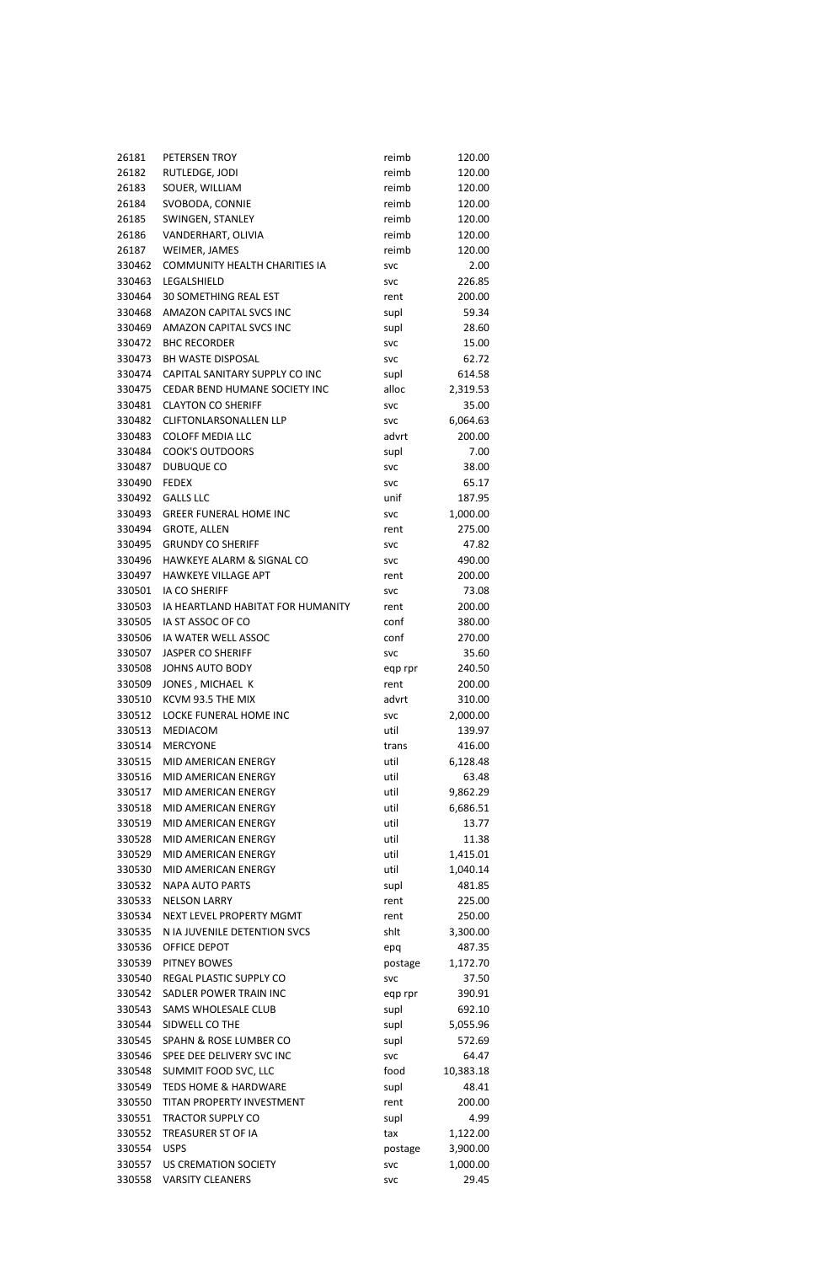| 26181  | PETERSEN TROY                                             | reimb      | 120.00    |
|--------|-----------------------------------------------------------|------------|-----------|
| 26182  | RUTLEDGE, JODI                                            | reimb      | 120.00    |
| 26183  | SOUER, WILLIAM                                            | reimb      | 120.00    |
| 26184  | SVOBODA, CONNIE                                           | reimb      | 120.00    |
| 26185  | SWINGEN, STANLEY                                          | reimb      | 120.00    |
| 26186  | VANDERHART, OLIVIA                                        | reimb      | 120.00    |
| 26187  | WEIMER, JAMES                                             | reimb      | 120.00    |
| 330462 | <b>COMMUNITY HEALTH CHARITIES IA</b>                      | <b>SVC</b> | 2.00      |
| 330463 | LEGALSHIELD                                               | <b>SVC</b> | 226.85    |
| 330464 | <b>30 SOMETHING REAL EST</b>                              | rent       | 200.00    |
| 330468 | <b>AMAZON CAPITAL SVCS INC</b>                            | supl       | 59.34     |
| 330469 | AMAZON CAPITAL SVCS INC                                   | supl       | 28.60     |
| 330472 | <b>BHC RECORDER</b>                                       | <b>SVC</b> | 15.00     |
| 330473 | <b>BH WASTE DISPOSAL</b>                                  | <b>SVC</b> | 62.72     |
| 330474 | CAPITAL SANITARY SUPPLY CO INC                            | supl       | 614.58    |
| 330475 | CEDAR BEND HUMANE SOCIETY INC                             | alloc      | 2,319.53  |
| 330481 | <b>CLAYTON CO SHERIFF</b>                                 | <b>SVC</b> | 35.00     |
| 330482 | <b>CLIFTONLARSONALLEN LLP</b>                             | <b>SVC</b> | 6,064.63  |
| 330483 | <b>COLOFF MEDIA LLC</b>                                   | advrt      | 200.00    |
| 330484 | <b>COOK'S OUTDOORS</b>                                    | supl       | 7.00      |
| 330487 | DUBUQUE CO                                                | <b>SVC</b> | 38.00     |
| 330490 | <b>FEDEX</b>                                              | <b>SVC</b> | 65.17     |
| 330492 | <b>GALLS LLC</b>                                          | unif       | 187.95    |
| 330493 | <b>GREER FUNERAL HOME INC</b>                             | <b>SVC</b> | 1,000.00  |
| 330494 | <b>GROTE, ALLEN</b>                                       | rent       | 275.00    |
| 330495 | <b>GRUNDY CO SHERIFF</b>                                  |            | 47.82     |
| 330496 | HAWKEYE ALARM & SIGNAL CO                                 | <b>SVC</b> | 490.00    |
|        | <b>HAWKEYE VILLAGE APT</b>                                | <b>SVC</b> |           |
| 330497 |                                                           | rent       | 200.00    |
| 330501 | <b>IA CO SHERIFF</b><br>IA HEARTLAND HABITAT FOR HUMANITY | <b>SVC</b> | 73.08     |
| 330503 |                                                           | rent       | 200.00    |
| 330505 | IA ST ASSOC OF CO                                         | conf       | 380.00    |
| 330506 | IA WATER WELL ASSOC                                       | conf       | 270.00    |
| 330507 | <b>JASPER CO SHERIFF</b>                                  | <b>SVC</b> | 35.60     |
| 330508 | <b>JOHNS AUTO BODY</b>                                    | eqp rpr    | 240.50    |
| 330509 | JONES, MICHAEL K                                          | rent       | 200.00    |
| 330510 | KCVM 93.5 THE MIX                                         | advrt      | 310.00    |
| 330512 | LOCKE FUNERAL HOME INC                                    | <b>SVC</b> | 2,000.00  |
| 330513 | MEDIACOM                                                  | util       | 139.97    |
| 330514 | <b>MERCYONE</b>                                           | trans      | 416.00    |
| 330515 | MID AMERICAN ENERGY                                       | util       | 6,128.48  |
| 330516 | MID AMERICAN ENERGY                                       | util       | 63.48     |
| 330517 | MID AMERICAN ENERGY                                       | util       | 9,862.29  |
| 330518 | MID AMERICAN ENERGY                                       | util       | 6,686.51  |
| 330519 | MID AMERICAN ENERGY                                       | util       | 13.77     |
| 330528 | MID AMERICAN ENERGY                                       | util       | 11.38     |
| 330529 | MID AMERICAN ENERGY                                       | util       | 1,415.01  |
| 330530 | MID AMERICAN ENERGY                                       | util       | 1,040.14  |
| 330532 | <b>NAPA AUTO PARTS</b>                                    | supl       | 481.85    |
| 330533 | <b>NELSON LARRY</b>                                       | rent       | 225.00    |
| 330534 | NEXT LEVEL PROPERTY MGMT                                  | rent       | 250.00    |
| 330535 | N IA JUVENILE DETENTION SVCS                              | shlt       | 3,300.00  |
| 330536 | OFFICE DEPOT                                              | epq        | 487.35    |
| 330539 | <b>PITNEY BOWES</b>                                       | postage    | 1,172.70  |
| 330540 | REGAL PLASTIC SUPPLY CO                                   | <b>SVC</b> | 37.50     |
| 330542 | SADLER POWER TRAIN INC                                    | eqp rpr    | 390.91    |
| 330543 | SAMS WHOLESALE CLUB                                       | supl       | 692.10    |
| 330544 | SIDWELL CO THE                                            | supl       | 5,055.96  |
| 330545 | SPAHN & ROSE LUMBER CO                                    | supl       | 572.69    |
| 330546 | SPEE DEE DELIVERY SVC INC                                 | <b>SVC</b> | 64.47     |
| 330548 | SUMMIT FOOD SVC, LLC                                      | food       | 10,383.18 |
| 330549 | <b>TEDS HOME &amp; HARDWARE</b>                           | supl       | 48.41     |
| 330550 | <b>TITAN PROPERTY INVESTMENT</b>                          | rent       | 200.00    |
| 330551 | <b>TRACTOR SUPPLY CO</b>                                  | supl       | 4.99      |
| 330552 | TREASURER ST OF IA                                        | tax        | 1,122.00  |
| 330554 | <b>USPS</b>                                               | postage    | 3,900.00  |
| 330557 | <b>US CREMATION SOCIETY</b>                               | <b>SVC</b> | 1,000.00  |
| 330558 | <b>VARSITY CLEANERS</b>                                   | <b>SVC</b> | 29.45     |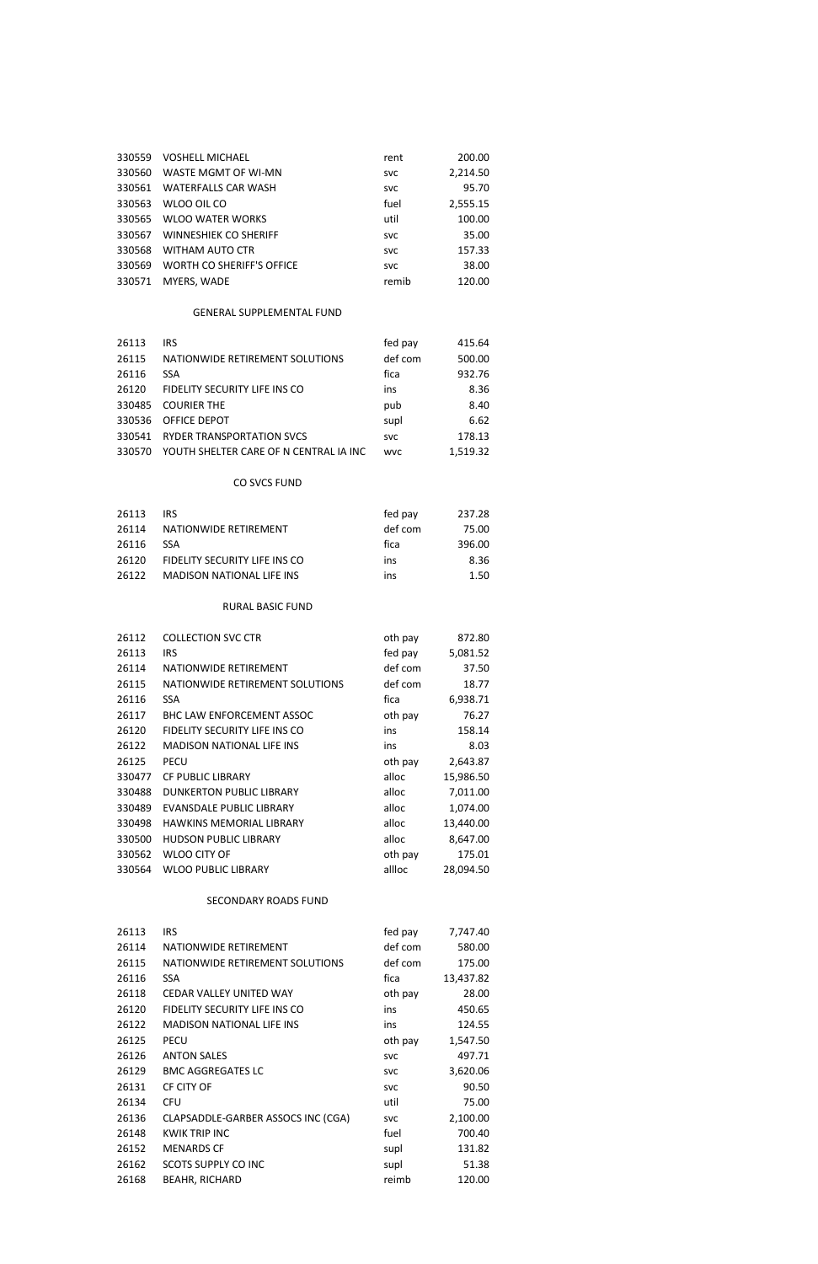| 26113 | IRS.                               | fed pay    | 7,747.40  |
|-------|------------------------------------|------------|-----------|
| 26114 | NATIONWIDE RETIREMENT              | def com    | 580.00    |
| 26115 | NATIONWIDE RETIREMENT SOLUTIONS    | def com    | 175.00    |
| 26116 | <b>SSA</b>                         | fica       | 13,437.82 |
| 26118 | CEDAR VALLEY UNITED WAY            | oth pay    | 28.00     |
| 26120 | FIDELITY SECURITY LIFE INS CO      | ins        | 450.65    |
| 26122 | <b>MADISON NATIONAL LIFE INS</b>   | ins        | 124.55    |
| 26125 | PECU                               | oth pay    | 1,547.50  |
| 26126 | <b>ANTON SALES</b>                 | <b>SVC</b> | 497.71    |
| 26129 | <b>BMC AGGREGATES LC</b>           | <b>SVC</b> | 3,620.06  |
| 26131 | CF CITY OF                         | <b>SVC</b> | 90.50     |
| 26134 | <b>CFU</b>                         | util       | 75.00     |
| 26136 | CLAPSADDLE-GARBER ASSOCS INC (CGA) | <b>SVC</b> | 2,100.00  |
| 26148 | <b>KWIK TRIP INC</b>               | fuel       | 700.40    |
| 26152 | <b>MENARDS CF</b>                  | supl       | 131.82    |
| 26162 | <b>SCOTS SUPPLY CO INC</b>         | supl       | 51.38     |
| 26168 | <b>BEAHR, RICHARD</b>              | reimb      | 120.00    |

| <b>COLLECTION SVC CTR</b>        | oth pay | 872.80    |
|----------------------------------|---------|-----------|
| <b>IRS</b>                       | fed pay | 5,081.52  |
| NATIONWIDE RETIREMENT            | def com | 37.50     |
| NATIONWIDE RETIREMENT SOLUTIONS  | def com | 18.77     |
| <b>SSA</b>                       | fica    | 6,938.71  |
| <b>BHC LAW ENFORCEMENT ASSOC</b> | oth pay | 76.27     |
| FIDELITY SECURITY LIFE INS CO    | ins     | 158.14    |
| <b>MADISON NATIONAL LIFE INS</b> | ins     | 8.03      |
| <b>PECU</b>                      | oth pay | 2,643.87  |
| <b>CF PUBLIC LIBRARY</b>         | alloc   | 15,986.50 |
| <b>DUNKERTON PUBLIC LIBRARY</b>  | alloc   | 7,011.00  |
| EVANSDALE PUBLIC LIBRARY         | alloc   | 1,074.00  |
| <b>HAWKINS MEMORIAL LIBRARY</b>  | alloc   | 13,440.00 |
| <b>HUDSON PUBLIC LIBRARY</b>     | alloc   | 8,647.00  |
| WLOO CITY OF                     | oth pay | 175.01    |
| <b>WLOO PUBLIC LIBRARY</b>       | allloc  | 28,094.50 |
|                                  |         |           |

## RURAL BASIC FUND

|       | CO SVCS FUND                     |         |        |
|-------|----------------------------------|---------|--------|
| 26113 | <b>IRS</b>                       | fed pay | 237.28 |
| 26114 | NATIONWIDE RETIREMENT            | def com | 75.00  |
| 26116 | <b>SSA</b>                       | fica    | 396.00 |
| 26120 | FIDELITY SECURITY LIFE INS CO    | ins     | 8.36   |
| 26122 | <b>MADISON NATIONAL LIFE INS</b> | ins     | 1.50   |

| 26113  | IRS                                    | fed pay    | 415.64   |
|--------|----------------------------------------|------------|----------|
| 26115  | NATIONWIDE RETIREMENT SOLUTIONS        | def com    | 500.00   |
| 26116  | <b>SSA</b>                             | fica       | 932.76   |
| 26120  | FIDELITY SECURITY LIFE INS CO          | ins        | 8.36     |
| 330485 | <b>COURIER THE</b>                     | pub        | 8.40     |
| 330536 | <b>OFFICE DEPOT</b>                    | supl       | 6.62     |
| 330541 | <b>RYDER TRANSPORTATION SVCS</b>       | <b>SVC</b> | 178.13   |
| 330570 | YOUTH SHELTER CARE OF N CENTRAL IA INC | <b>WVC</b> | 1,519.32 |

# GENERAL SUPPLEMENTAL FUND

| 330559 | <b>VOSHELL MICHAEL</b>       | rent       | 200.00   |
|--------|------------------------------|------------|----------|
| 330560 | WASTE MGMT OF WI-MN          | <b>SVC</b> | 2,214.50 |
| 330561 | WATERFALLS CAR WASH          | <b>SVC</b> | 95.70    |
| 330563 | WLOO OIL CO                  | fuel       | 2,555.15 |
| 330565 | <b>WLOO WATER WORKS</b>      | util       | 100.00   |
| 330567 | <b>WINNESHIEK CO SHERIFF</b> | <b>SVC</b> | 35.00    |
| 330568 | WITHAM AUTO CTR              | <b>SVC</b> | 157.33   |
| 330569 | WORTH CO SHERIFF'S OFFICE    | <b>SVC</b> | 38.00    |
| 330571 | MYERS, WADE                  | remib      | 120.00   |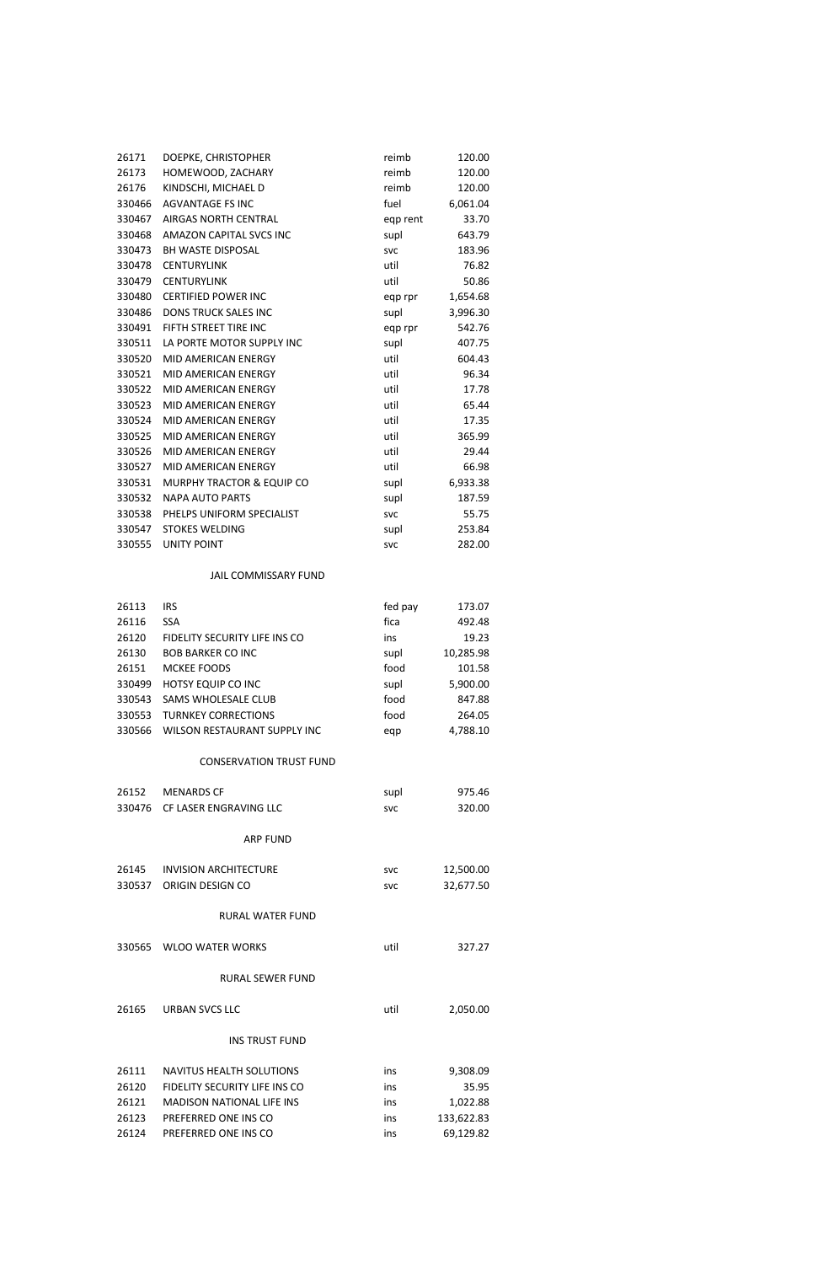# 330555 UNITY POINT SVC SVC 282.00 JAIL COMMISSARY FUND 26113 IRS fed pay 173.07 26116 SSA fica 492.48 26120 FIDELITY SECURITY LIFE INS CO ins 19.23 26130 BOB BARKER CO INC supl supl 10,285.98 26151 MCKEE FOODS food 101.58 330499 HOTSY EQUIP CO INC supl 5,900.00 330543 SAMS WHOLESALE CLUB food 847.88 330553 TURNKEY CORRECTIONS food 264.05 330566 WILSON RESTAURANT SUPPLY INC eqp 4,788.10 CONSERVATION TRUST FUND 26152 MENARDS CF supl 975.46 330476 CF LASER ENGRAVING LLC svc svc 320.00 ARP FUND 26145 INVISION ARCHITECTURE Svc 5vc 12,500.00 330537 ORIGIN DESIGN CO svc 32,677.50

# 26171 DOEPKE, CHRISTOPHER reimb 120.00 26173 HOMEWOOD, ZACHARY reimb 120.00 26176 KINDSCHI, MICHAEL D reimb 120.00 330466 AGVANTAGE FS INC fuel 6,061.04 330467 AIRGAS NORTH CENTRAL eqp rent 33.70 330468 AMAZON CAPITAL SVCS INC supl supl 643.79 330473 BH WASTE DISPOSAL svc svc 183.96 330478 CENTURYLINK util 76.82 330479 CENTURYLINK util 50.86 330480 CERTIFIED POWER INC eqp rpr 1,654.68 330486 DONS TRUCK SALES INC supl supl 3,996.30 330491 FIFTH STREET TIRE INC **Example 20 Fig. 12 and 542.76** 330511 LA PORTE MOTOR SUPPLY INC supl 407.75 330520 MID AMERICAN ENERGY util 604.43 330521 MID AMERICAN ENERGY Util UNIVERSITY UNIVERSITY OF A USB UNIVERSITY OF A USB OF A USB OF A USB OF A USB 330522 MID AMERICAN ENERGY Util Util 17.78 330523 MID AMERICAN ENERGY Util 65.44 330524 MID AMERICAN ENERGY Util Util 17.35 330525 MID AMERICAN ENERGY util 365.99 330526 MID AMERICAN ENERGY util 29.44 330527 MID AMERICAN ENERGY util 66.98 330531 MURPHY TRACTOR & EQUIP CO supl 6,933.38 330532 NAPA AUTO PARTS supl supl 187.59 330538 PHELPS UNIFORM SPECIALIST svc svc 55.75 330547 STOKES WELDING Supl supl 253.84

### RURAL WATER FUND

26165 URBAN SVCS LLC util 2,050.00

#### INS TRUST FUND

| 26111 | NAVITUS HEALTH SOLUTIONS         | ins | 9.308.09   |
|-------|----------------------------------|-----|------------|
| 26120 | FIDELITY SECURITY LIFE INS CO    | ins | 35.95      |
| 26121 | <b>MADISON NATIONAL LIFE INS</b> | ins | 1.022.88   |
| 26123 | PREFERRED ONE INS CO             | ins | 133,622.83 |
| 26124 | PREFERRED ONE INS CO             | ins | 69.129.82  |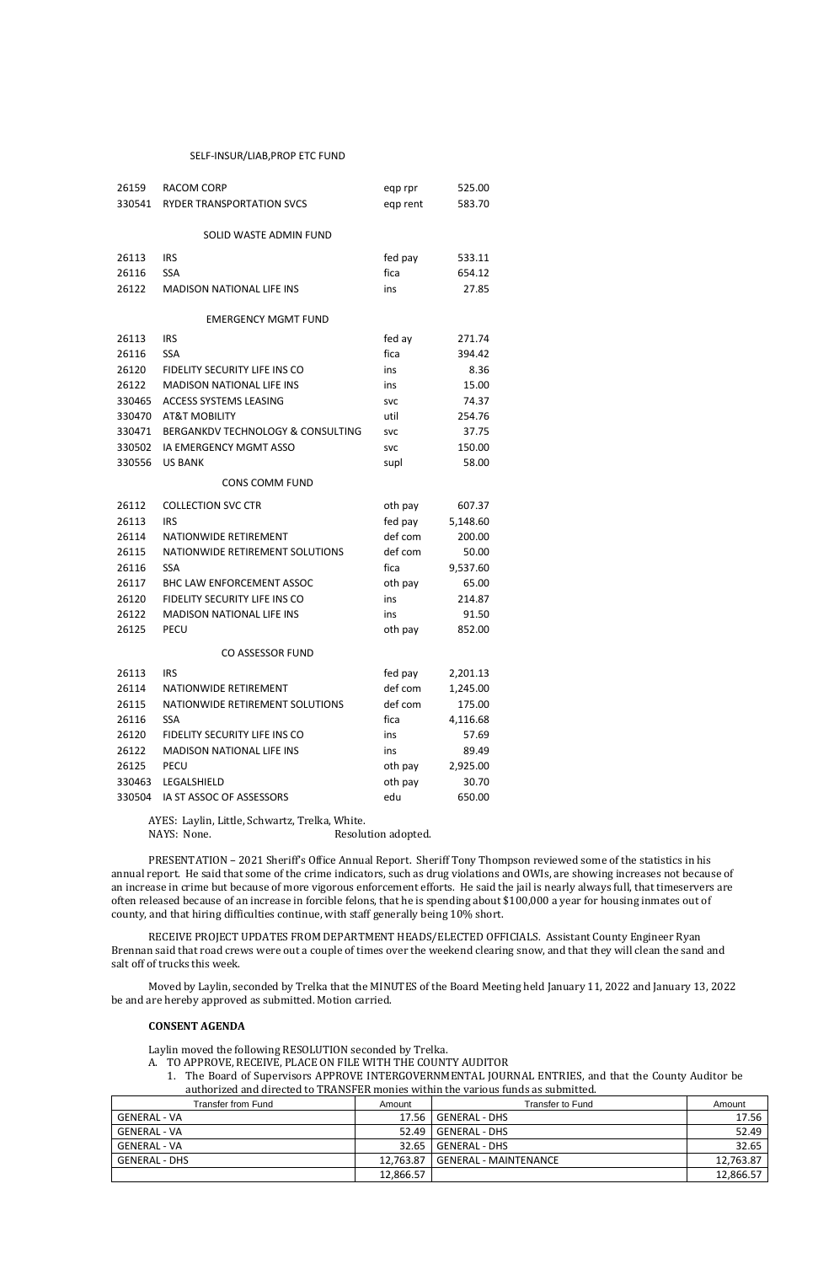#### SELF-INSUR/LIAB, PROP ETC FUND

| 26159  | <b>RACOM CORP</b>                            | eqp rpr    | 525.00   |
|--------|----------------------------------------------|------------|----------|
| 330541 | RYDER TRANSPORTATION SVCS                    | eqp rent   | 583.70   |
|        |                                              |            |          |
|        | SOLID WASTE ADMIN FUND                       |            |          |
| 26113  | <b>IRS</b>                                   | fed pay    | 533.11   |
| 26116  | <b>SSA</b>                                   | fica       | 654.12   |
| 26122  | <b>MADISON NATIONAL LIFE INS</b>             | ins        | 27.85    |
|        | <b>EMERGENCY MGMT FUND</b>                   |            |          |
| 26113  | <b>IRS</b>                                   | fed ay     | 271.74   |
| 26116  | <b>SSA</b>                                   | fica       | 394.42   |
| 26120  | FIDELITY SECURITY LIFE INS CO                | ins        | 8.36     |
| 26122  | <b>MADISON NATIONAL LIFE INS</b>             | ins        | 15.00    |
| 330465 | <b>ACCESS SYSTEMS LEASING</b>                | <b>SVC</b> | 74.37    |
| 330470 | <b>AT&amp;T MOBILITY</b>                     | util       | 254.76   |
| 330471 | <b>BERGANKDV TECHNOLOGY &amp; CONSULTING</b> | <b>SVC</b> | 37.75    |
| 330502 | <b>IA EMERGENCY MGMT ASSO</b>                | <b>SVC</b> | 150.00   |
| 330556 | <b>US BANK</b>                               | supl       | 58.00    |
|        | <b>CONS COMM FUND</b>                        |            |          |
| 26112  | <b>COLLECTION SVC CTR</b>                    | oth pay    | 607.37   |
| 26113  | <b>IRS</b>                                   | fed pay    | 5,148.60 |
| 26114  | NATIONWIDE RETIREMENT                        | def com    | 200.00   |
| 26115  | NATIONWIDE RETIREMENT SOLUTIONS              | def com    | 50.00    |
| 26116  | <b>SSA</b>                                   | fica       | 9,537.60 |
| 26117  | <b>BHC LAW ENFORCEMENT ASSOC</b>             | oth pay    | 65.00    |
| 26120  | FIDELITY SECURITY LIFE INS CO                | ins        | 214.87   |
| 26122  | <b>MADISON NATIONAL LIFE INS</b>             | ins        | 91.50    |
| 26125  | <b>PECU</b>                                  | oth pay    | 852.00   |
|        | CO ASSESSOR FUND                             |            |          |
| 26113  | <b>IRS</b>                                   | fed pay    | 2,201.13 |
| 26114  | NATIONWIDE RETIREMENT                        | def com    | 1,245.00 |
| 26115  | NATIONWIDE RETIREMENT SOLUTIONS              | def com    | 175.00   |
| 26116  | <b>SSA</b>                                   | fica       | 4,116.68 |
| 26120  | FIDELITY SECURITY LIFE INS CO                | ins        | 57.69    |
| 26122  | <b>MADISON NATIONAL LIFE INS</b>             | ins        | 89.49    |
| 26125  | <b>PECU</b>                                  | oth pay    | 2,925.00 |
| 330463 | LEGALSHIELD                                  | oth pay    | 30.70    |
| 330504 | IA ST ASSOC OF ASSESSORS                     | edu        | 650.00   |

AYES: Laylin, Little, Schwartz, Trelka, White. NAYS: None.

Resolution adopted.

PRESENTATION - 2021 Sheriff's Office Annual Report. Sheriff Tony Thompson reviewed some of the statistics in his annual report. He said that some of the crime indicators, such as drug violations and OWIs, are showing increases not because of an increase in crime but because of more vigorous enforcement efforts. He said the jail is nearly always full, that timeservers are often released because of an increase in forcible felons, that he is spending about \$100,000 a year for housing inmates out of county, and that hiring difficulties continue, with staff generally being 10% short.

RECEIVE PROJECT UPDATES FROM DEPARTMENT HEADS/ELECTED OFFICIALS. Assistant County Engineer Ryan Brennan said that road crews were out a couple of times over the weekend clearing snow, and that they will clean the sand and salt off of trucks this week.

Moved by Laylin, seconded by Trelka that the MINUTES of the Board Meeting held January 11, 2022 and January 13, 2022 be and are hereby approved as submitted. Motion carried.

#### **CONSENT AGENDA**

Laylin moved the following RESOLUTION seconded by Trelka.

- A. TO APPROVE, RECEIVE, PLACE ON FILE WITH THE COUNTY AUDITOR
	- 1. The Board of Supervisors APPROVE INTERGOVERNMENTAL JOURNAL ENTRIES, and that the County Auditor be authorized and directed to TRANSFER monies within the various funds as submitted.

| Transfer from Fund | Amount    | Transfer to Fund      | Amount    |
|--------------------|-----------|-----------------------|-----------|
| GENERAL - VA       |           | 17.56 GENERAL - DHS   | 17.56     |
| GENERAL - VA       | $52.49$   | GENERAL - DHS         | 52.49     |
| GENERAL - VA       | $32.65$   | GENERAL - DHS         | 32.65     |
| GENERAL - DHS      | 12.763.87 | GENERAL - MAINTENANCE | 12,763.87 |
|                    | 12,866.57 |                       | 12,866.57 |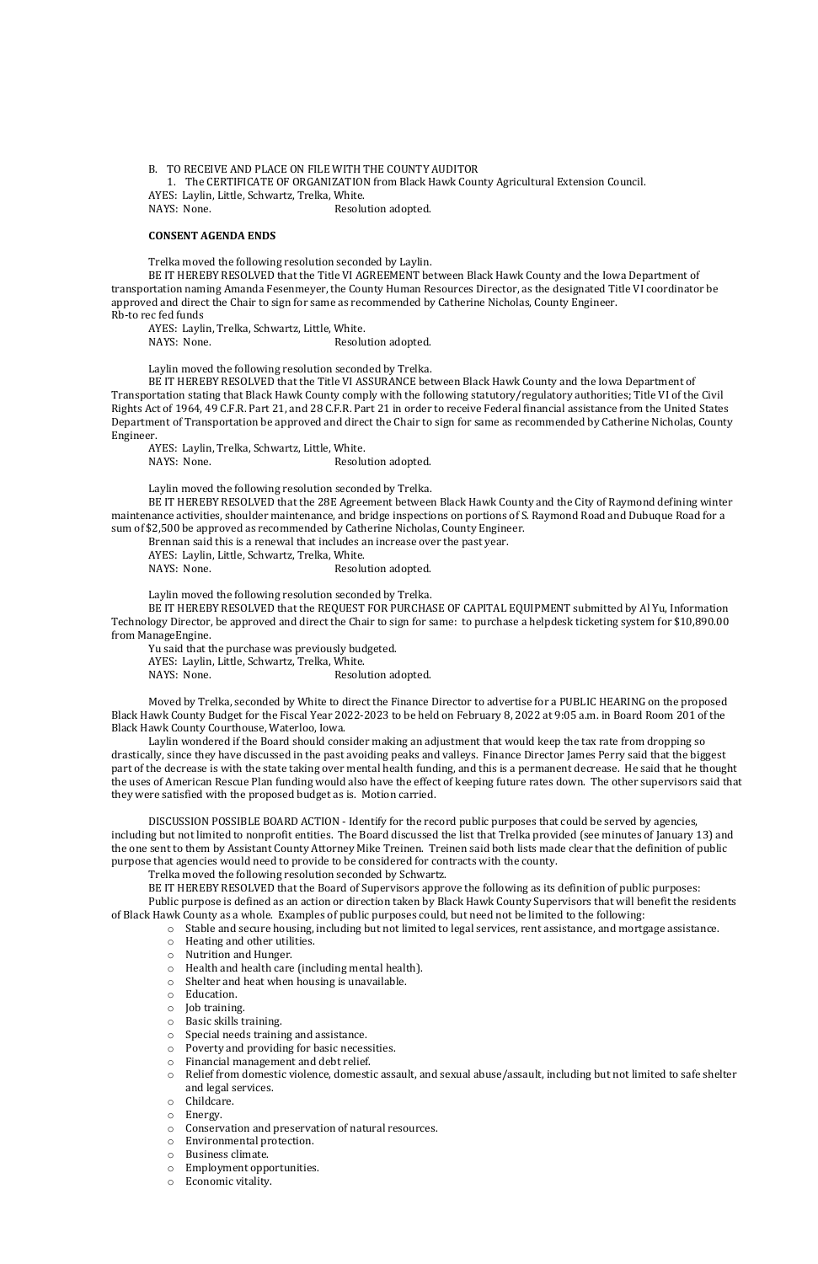B. TO RECEIVE AND PLACE ON FILE WITH THE COUNTY AUDITOR

1. The CERTIFICATE OF ORGANIZATION from Black Hawk County Agricultural Extension Council. AYES: Laylin, Little, Schwartz, Trelka, White. NAYS: None. Resolution adopted.

#### **CONSENT AGENDA ENDS**

Trelka moved the following resolution seconded by Laylin.

AYES: Laylin, Trelka, Schwartz, Little, White. NAYS: None. Resolution adopted.

BE IT HEREBY RESOLVED that the Title VI AGREEMENT between Black Hawk County and the Iowa Department of transportation naming Amanda Fesenmeyer, the County Human Resources Director, as the designated Title VI coordinator be approved and direct the Chair to sign for same as recommended by Catherine Nicholas, County Engineer. Rb-to rec fed funds

AYES: Laylin, Trelka, Schwartz, Little, White. NAYS: None. Resolution adopted.

Laylin moved the following resolution seconded by Trelka.

BE IT HEREBY RESOLVED that the Title VI ASSURANCE between Black Hawk County and the Iowa Department of Transportation stating that Black Hawk County comply with the following statutory/regulatory authorities; Title VI of the Civil Rights Act of 1964, 49 C.F.R. Part 21, and 28 C.F.R. Part 21 in order to receive Federal financial assistance from the United States Department of Transportation be approved and direct the Chair to sign for same as recommended by Catherine Nicholas, County Engineer.

Yu said that the purchase was previously budgeted. AYES: Laylin, Little, Schwartz, Trelka, White. NAYS: None. Resolution adopted.

Laylin moved the following resolution seconded by Trelka.

BE IT HEREBY RESOLVED that the 28E Agreement between Black Hawk County and the City of Raymond defining winter maintenance activities, shoulder maintenance, and bridge inspections on portions of S. Raymond Road and Dubuque Road for a sum of \$2,500 be approved as recommended by Catherine Nicholas, County Engineer.

Brennan said this is a renewal that includes an increase over the past year.

AYES: Laylin, Little, Schwartz, Trelka, White.

NAYS: None. Resolution adopted.

Laylin moved the following resolution seconded by Trelka.

BE IT HEREBY RESOLVED that the REQUEST FOR PURCHASE OF CAPITAL EQUIPMENT submitted by Al Yu, Information Technology Director, be approved and direct the Chair to sign for same: to purchase a helpdesk ticketing system for \$10,890.00 from ManageEngine.

Moved by Trelka, seconded by White to direct the Finance Director to advertise for a PUBLIC HEARING on the proposed Black Hawk County Budget for the Fiscal Year 2022-2023 to be held on February 8, 2022 at 9:05 a.m. in Board Room 201 of the Black Hawk County Courthouse, Waterloo, Iowa.

Laylin wondered if the Board should consider making an adjustment that would keep the tax rate from dropping so drastically, since they have discussed in the past avoiding peaks and valleys. Finance Director James Perry said that the biggest part of the decrease is with the state taking over mental health funding, and this is a permanent decrease. He said that he thought the uses of American Rescue Plan funding would also have the effect of keeping future rates down. The other supervisors said that they were satisfied with the proposed budget as is. Motion carried.

DISCUSSION POSSIBLE BOARD ACTION - Identify for the record public purposes that could be served by agencies, including but not limited to nonprofit entities. The Board discussed the list that Trelka provided (see minutes of January 13) and the one sent to them by Assistant County Attorney Mike Treinen. Treinen said both lists made clear that the definition of public purpose that agencies would need to provide to be considered for contracts with the county.

Trelka moved the following resolution seconded by Schwartz.

BE IT HEREBY RESOLVED that the Board of Supervisors approve the following as its definition of public purposes: Public purpose is defined as an action or direction taken by Black Hawk County Supervisors that will benefit the residents of Black Hawk County as a whole. Examples of public purposes could, but need not be limited to the following:

o Stable and secure housing, including but not limited to legal services, rent assistance, and mortgage assistance.

- 
- o Heating and other utilities.
- o Nutrition and Hunger.
- o Health and health care (including mental health).
- o Shelter and heat when housing is unavailable.
- o Education.
- o Job training.
- o Basic skills training.
- o Special needs training and assistance.
- o Poverty and providing for basic necessities.
- o Financial management and debt relief.
- o Relief from domestic violence, domestic assault, and sexual abuse/assault, including but not limited to safe shelter and legal services.
- o Childcare.
- o Energy.
- o Conservation and preservation of natural resources.
- o Environmental protection.
- o Business climate.
- o Employment opportunities.
- o Economic vitality.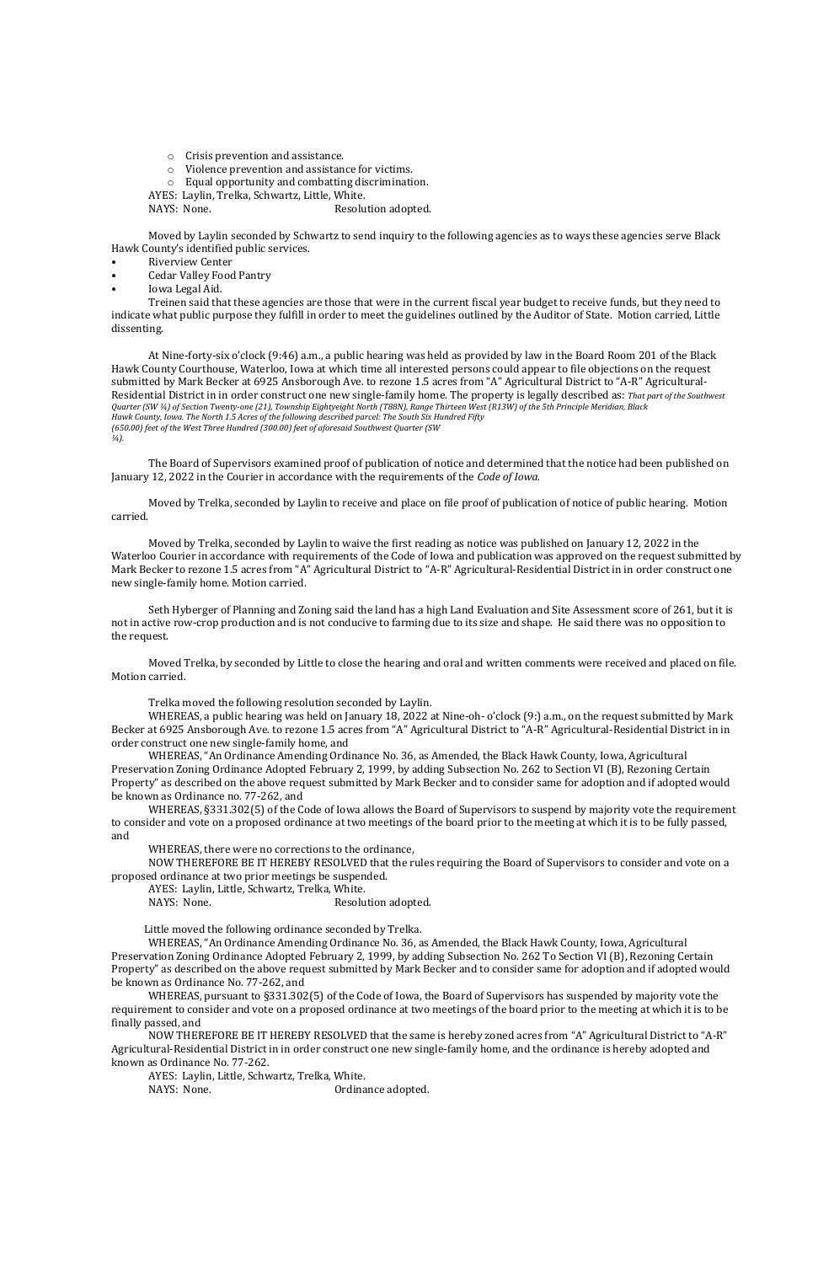o Crisis prevention and assistance.

- o Violence prevention and assistance for victims.
- o Equal opportunity and combatting discrimination.

AYES: Laylin, Trelka, Schwartz, Little, White.

NAYS: None. Resolution adopted.

- Riverview Center
- Cedar Valley Food Pantry
- Iowa Legal Aid.

Moved by Laylin seconded by Schwartz to send inquiry to the following agencies as to ways these agencies serve Black Hawk County's identified public services.

Treinen said that these agencies are those that were in the current fiscal year budget to receive funds, but they need to indicate what public purpose they fulfill in order to meet the guidelines outlined by the Auditor of State. Motion carried, Little dissenting.

At Nine-forty-six o'clock (9:46) a.m., a public hearing was held as provided by law in the Board Room 201 of the Black Hawk County Courthouse, Waterloo, Iowa at which time all interested persons could appear to file objections on the request submitted by Mark Becker at 6925 Ansborough Ave. to rezone 1.5 acres from "A" Agricultural District to "A-R" Agricultural-Residential District in in order construct one new single-family home. The property is legally described as: *That part of the Southwest Quarter (SW ¼) of Section Twenty-one (21), Township Eightyeight North (T88N), Range Thirteen West (R13W) of the 5th Principle Meridian, Black Hawk County, Iowa. The North 1.5 Acres of the following described parcel: The South Six Hundred Fifty (650.00) feet of the West Three Hundred (300.00) feet of aforesaid Southwest Quarter (SW ¼).*

The Board of Supervisors examined proof of publication of notice and determined that the notice had been published on January 12, 2022 in the Courier in accordance with the requirements of the *Code of Iowa*.

Moved by Trelka, seconded by Laylin to receive and place on file proof of publication of notice of public hearing. Motion carried.

AYES: Laylin, Little, Schwartz, Trelka, White. NAYS: None. Resolution adopted.

Moved by Trelka, seconded by Laylin to waive the first reading as notice was published on January 12, 2022 in the Waterloo Courier in accordance with requirements of the Code of Iowa and publication was approved on the request submitted by Mark Becker to rezone 1.5 acres from "A" Agricultural District to "A-R" Agricultural-Residential District in in order construct one new single-family home. Motion carried.

Seth Hyberger of Planning and Zoning said the land has a high Land Evaluation and Site Assessment score of 261, but it is not in active row-crop production and is not conducive to farming due to its size and shape. He said there was no opposition to the request.

Moved Trelka, by seconded by Little to close the hearing and oral and written comments were received and placed on file. Motion carried.

Trelka moved the following resolution seconded by Laylin.

WHEREAS, a public hearing was held on January 18, 2022 at Nine-oh- o'clock (9:) a.m., on the request submitted by Mark Becker at 6925 Ansborough Ave. to rezone 1.5 acres from "A" Agricultural District to "A-R" Agricultural-Residential District in in order construct one new single-family home, and

WHEREAS, "An Ordinance Amending Ordinance No. 36, as Amended, the Black Hawk County, Iowa, Agricultural Preservation Zoning Ordinance Adopted February 2, 1999, by adding Subsection No. 262 to Section VI (B), Rezoning Certain Property" as described on the above request submitted by Mark Becker and to consider same for adoption and if adopted would be known as Ordinance no. 77-262, and

WHEREAS, §331.302(5) of the Code of Iowa allows the Board of Supervisors to suspend by majority vote the requirement to consider and vote on a proposed ordinance at two meetings of the board prior to the meeting at which it is to be fully passed, and

WHEREAS, there were no corrections to the ordinance,

NOW THEREFORE BE IT HEREBY RESOLVED that the rules requiring the Board of Supervisors to consider and vote on a proposed ordinance at two prior meetings be suspended.

Little moved the following ordinance seconded by Trelka.

WHEREAS, "An Ordinance Amending Ordinance No. 36, as Amended, the Black Hawk County, Iowa, Agricultural Preservation Zoning Ordinance Adopted February 2, 1999, by adding Subsection No. 262 To Section VI (B), Rezoning Certain Property" as described on the above request submitted by Mark Becker and to consider same for adoption and if adopted would be known as Ordinance No. 77-262, and

WHEREAS, pursuant to §331.302(5) of the Code of Iowa, the Board of Supervisors has suspended by majority vote the requirement to consider and vote on a proposed ordinance at two meetings of the board prior to the meeting at which it is to be finally passed, and

NOW THEREFORE BE IT HEREBY RESOLVED that the same is hereby zoned acres from "A" Agricultural District to "A-R" Agricultural-Residential District in in order construct one new single-family home, and the ordinance is hereby adopted and known as Ordinance No. 77-262.

AYES: Laylin, Little, Schwartz, Trelka, White.

NAYS: None. **Ordinance adopted.**